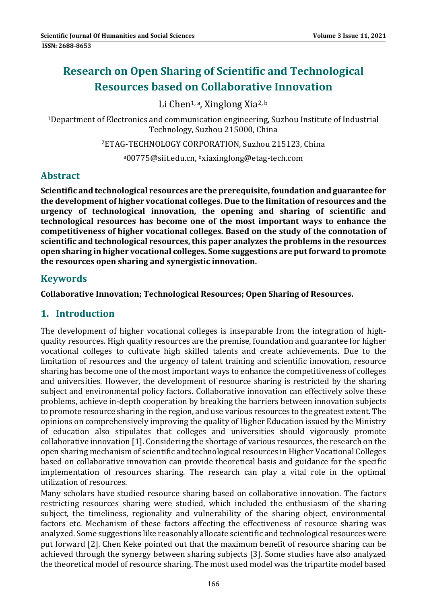# **Research on Open Sharing of Scientific and Technological Resources based on Collaborative Innovation**

Li Chen<sup>1, a</sup>, Xinglong Xia<sup>2, b</sup>

<sup>1</sup>Department of Electronics and communication engineering, Suzhou Institute of Industrial Technology, Suzhou 215000, China

<sup>2</sup>ETAG-TECHNOLOGY CORPORATION, Suzhou 215123, China

a00775@siit.edu.cn, bxiaxinglong@etag-tech.com

# **Abstract**

**Scientific and technological resources are the prerequisite, foundation and guarantee for the development of higher vocational colleges. Due to the limitation of resources and the urgency of technological innovation, the opening and sharing of scientific and technological resources has become one of the most important ways to enhance the competitiveness of higher vocational colleges. Based on the study of the connotation of scientific and technological resources,this paper analyzes the problems in the resources open sharing in higher vocational colleges. Some suggestions are putforward to promote the resources open sharing and synergistic innovation.**

### **Keywords**

**Collaborative Innovation; Technological Resources; Open Sharing of Resources.** 

### **1. Introduction**

The development of higher vocational colleges is inseparable from the integration of highquality resources. High quality resources are the premise, foundation and guarantee for higher vocational colleges to cultivate high skilled talents and create achievements. Due to the limitation of resources and the urgency of talent training and scientific innovation, resource sharing has become one of the most important ways to enhance the competitiveness of colleges and universities. However, the development of resource sharing is restricted by the sharing subject and environmental policy factors. Collaborative innovation can effectively solve these problems, achieve in-depth cooperation by breaking the barriers between innovation subjects to promote resource sharing in the region, and use various resources to the greatest extent. The opinions on comprehensively improving the quality of Higher Education issued by the Ministry of education also stipulates that colleges and universities should vigorously promote collaborative innovation [1]. Considering the shortage of various resources, the research on the open sharing mechanism of scientific and technological resources in Higher Vocational Colleges based on collaborative innovation can provide theoretical basis and guidance for the specific implementation of resources sharing. The research can play a vital role in the optimal utilization of resources.

Many scholars have studied resource sharing based on collaborative innovation. The factors restricting resources sharing were studied, which included the enthusiasm of the sharing subject, the timeliness, regionality and vulnerability of the sharing object, environmental factors etc. Mechanism of these factors affecting the effectiveness of resource sharing was analyzed. Some suggestions like reasonably allocate scientific and technological resources were put forward [2]. Chen Keke pointed out that the maximum benefit of resource sharing can be achieved through the synergy between sharing subjects [3]. Some studies have also analyzed the theoretical model of resource sharing. The most used model was the tripartite model based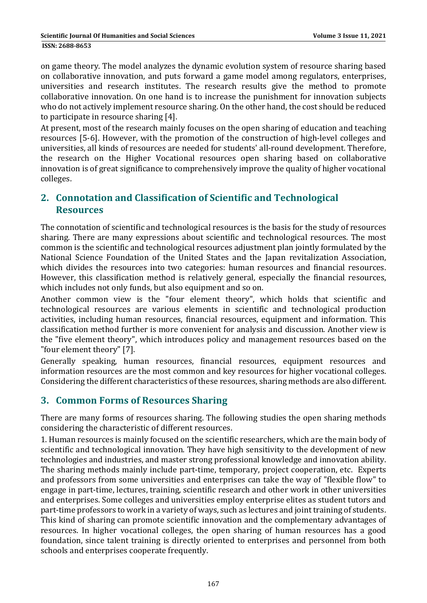on game theory. The model analyzes the dynamic evolution system of resource sharing based on collaborative innovation, and puts forward a game model among regulators, enterprises, universities and research institutes. The research results give the method to promote collaborative innovation. On one hand is to increase the punishment for innovation subjects who do not actively implement resource sharing. On the other hand, the cost should be reduced to participate in resource sharing [4].

At present, most of the research mainly focuses on the open sharing of education and teaching resources [5-6]. However, with the promotion of the construction of high-level colleges and universities, all kinds of resources are needed for students' all-round development. Therefore, the research on the Higher Vocational resources open sharing based on collaborative innovation is of great significance to comprehensively improve the quality of higher vocational colleges. 

# **2. Connotation and Classification of Scientific and Technological Resources**

The connotation of scientific and technological resources is the basis for the study of resources sharing. There are many expressions about scientific and technological resources. The most common is the scientific and technological resources adjustment plan jointly formulated by the National Science Foundation of the United States and the Japan revitalization Association, which divides the resources into two categories: human resources and financial resources. However, this classification method is relatively general, especially the financial resources, which includes not only funds, but also equipment and so on.

Another common view is the "four element theory", which holds that scientific and technological resources are various elements in scientific and technological production activities, including human resources, financial resources, equipment and information. This classification method further is more convenient for analysis and discussion. Another view is the "five element theory", which introduces policy and management resources based on the "four element theory" [7].

Generally speaking, human resources, financial resources, equipment resources and information resources are the most common and key resources for higher vocational colleges. Considering the different characteristics of these resources, sharing methods are also different.

# **3. Common Forms of Resources Sharing**

There are many forms of resources sharing. The following studies the open sharing methods considering the characteristic of different resources.

1. Human resources is mainly focused on the scientific researchers, which are the main body of scientific and technological innovation. They have high sensitivity to the development of new technologies and industries, and master strong professional knowledge and innovation ability. The sharing methods mainly include part-time, temporary, project cooperation, etc. Experts and professors from some universities and enterprises can take the way of "flexible flow" to engage in part-time, lectures, training, scientific research and other work in other universities and enterprises. Some colleges and universities employ enterprise elites as student tutors and part-time professors to work in a variety of ways, such as lectures and joint training of students. This kind of sharing can promote scientific innovation and the complementary advantages of resources. In higher vocational colleges, the open sharing of human resources has a good foundation, since talent training is directly oriented to enterprises and personnel from both schools and enterprises cooperate frequently.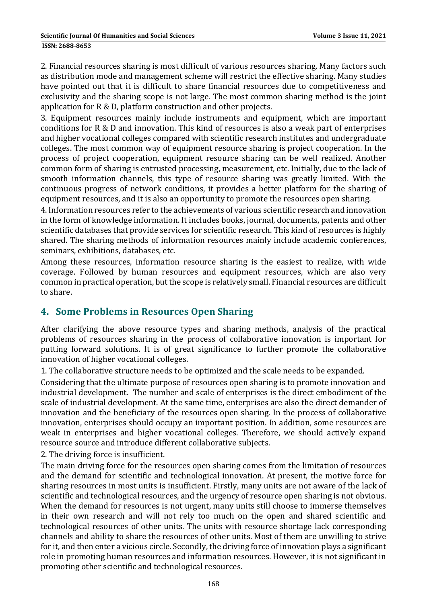#### **ISSN: 2688-8653**

2. Financial resources sharing is most difficult of various resources sharing. Many factors such as distribution mode and management scheme will restrict the effective sharing. Many studies have pointed out that it is difficult to share financial resources due to competitiveness and exclusivity and the sharing scope is not large. The most common sharing method is the joint application for  $R \& D$ , platform construction and other projects.

3. Equipment resources mainly include instruments and equipment, which are important conditions for  $R \& D$  and innovation. This kind of resources is also a weak part of enterprises and higher vocational colleges compared with scientific research institutes and undergraduate colleges. The most common way of equipment resource sharing is project cooperation. In the process of project cooperation, equipment resource sharing can be well realized. Another common form of sharing is entrusted processing, measurement, etc. Initially, due to the lack of smooth information channels, this type of resource sharing was greatly limited. With the continuous progress of network conditions, it provides a better platform for the sharing of equipment resources, and it is also an opportunity to promote the resources open sharing.

4. Information resources refer to the achievements of various scientific research and innovation in the form of knowledge information. It includes books, journal, documents, patents and other scientific databases that provide services for scientific research. This kind of resources is highly shared. The sharing methods of information resources mainly include academic conferences, seminars, exhibitions, databases, etc.

Among these resources, information resource sharing is the easiest to realize, with wide coverage. Followed by human resources and equipment resources, which are also very common in practical operation, but the scope is relatively small. Financial resources are difficult to share. 

### **4. Some Problems in Resources Open Sharing**

After clarifying the above resource types and sharing methods, analysis of the practical problems of resources sharing in the process of collaborative innovation is important for putting forward solutions. It is of great significance to further promote the collaborative innovation of higher vocational colleges.

1. The collaborative structure needs to be optimized and the scale needs to be expanded.

Considering that the ultimate purpose of resources open sharing is to promote innovation and industrial development. The number and scale of enterprises is the direct embodiment of the scale of industrial development. At the same time, enterprises are also the direct demander of innovation and the beneficiary of the resources open sharing. In the process of collaborative innovation, enterprises should occupy an important position. In addition, some resources are weak in enterprises and higher vocational colleges. Therefore, we should actively expand resource source and introduce different collaborative subjects.

2. The driving force is insufficient.

The main driving force for the resources open sharing comes from the limitation of resources and the demand for scientific and technological innovation. At present, the motive force for sharing resources in most units is insufficient. Firstly, many units are not aware of the lack of scientific and technological resources, and the urgency of resource open sharing is not obvious. When the demand for resources is not urgent, many units still choose to immerse themselves in their own research and will not rely too much on the open and shared scientific and technological resources of other units. The units with resource shortage lack corresponding channels and ability to share the resources of other units. Most of them are unwilling to strive for it, and then enter a vicious circle. Secondly, the driving force of innovation plays a significant role in promoting human resources and information resources. However, it is not significant in promoting other scientific and technological resources.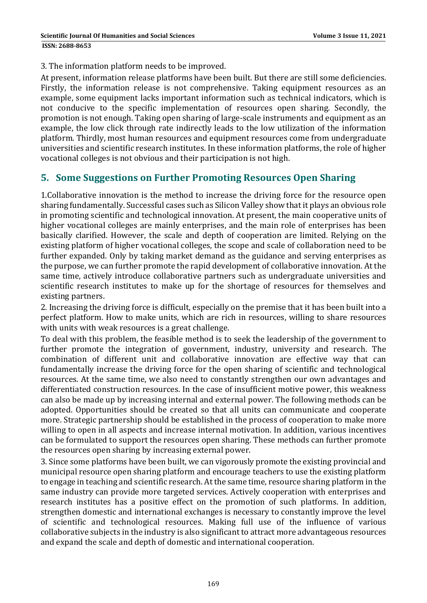3. The information platform needs to be improved.

At present, information release platforms have been built. But there are still some deficiencies. Firstly, the information release is not comprehensive. Taking equipment resources as an example, some equipment lacks important information such as technical indicators, which is not conducive to the specific implementation of resources open sharing. Secondly, the promotion is not enough. Taking open sharing of large-scale instruments and equipment as an example, the low click through rate indirectly leads to the low utilization of the information platform. Thirdly, most human resources and equipment resources come from undergraduate universities and scientific research institutes. In these information platforms, the role of higher vocational colleges is not obvious and their participation is not high.

# **5. Some Suggestions on Further Promoting Resources Open Sharing**

1. Collaborative innovation is the method to increase the driving force for the resource open sharing fundamentally. Successful cases such as Silicon Valley show that it plays an obvious role in promoting scientific and technological innovation. At present, the main cooperative units of higher vocational colleges are mainly enterprises, and the main role of enterprises has been basically clarified. However, the scale and depth of cooperation are limited. Relying on the existing platform of higher vocational colleges, the scope and scale of collaboration need to be further expanded. Only by taking market demand as the guidance and serving enterprises as the purpose, we can further promote the rapid development of collaborative innovation. At the same time, actively introduce collaborative partners such as undergraduate universities and scientific research institutes to make up for the shortage of resources for themselves and existing partners.

2. Increasing the driving force is difficult, especially on the premise that it has been built into a perfect platform. How to make units, which are rich in resources, willing to share resources with units with weak resources is a great challenge.

To deal with this problem, the feasible method is to seek the leadership of the government to further promote the integration of government, industry, university and research. The combination of different unit and collaborative innovation are effective way that can fundamentally increase the driving force for the open sharing of scientific and technological resources. At the same time, we also need to constantly strengthen our own advantages and differentiated construction resources. In the case of insufficient motive power, this weakness can also be made up by increasing internal and external power. The following methods can be adopted. Opportunities should be created so that all units can communicate and cooperate more. Strategic partnership should be established in the process of cooperation to make more willing to open in all aspects and increase internal motivation. In addition, various incentives can be formulated to support the resources open sharing. These methods can further promote the resources open sharing by increasing external power.

3. Since some platforms have been built, we can vigorously promote the existing provincial and municipal resource open sharing platform and encourage teachers to use the existing platform to engage in teaching and scientific research. At the same time, resource sharing platform in the same industry can provide more targeted services. Actively cooperation with enterprises and research institutes has a positive effect on the promotion of such platforms. In addition, strengthen domestic and international exchanges is necessary to constantly improve the level of scientific and technological resources. Making full use of the influence of various collaborative subjects in the industry is also significant to attract more advantageous resources and expand the scale and depth of domestic and international cooperation.